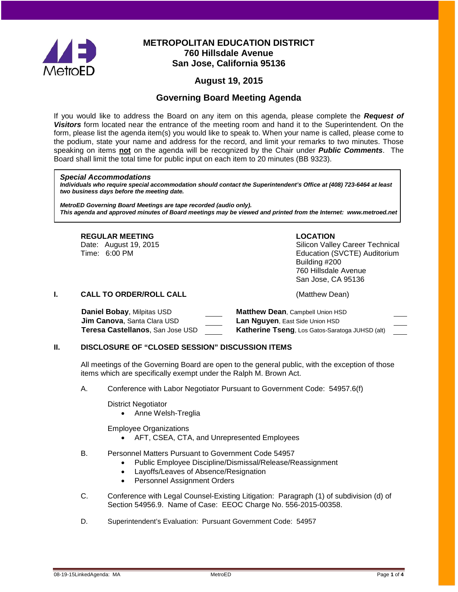

# **METROPOLITAN EDUCATION DISTRICT 760 Hillsdale Avenue San Jose, California 95136**

# **August 19, 2015**

## **Governing Board Meeting Agenda**

If you would like to address the Board on any item on this agenda, please complete the *Request of Visitors* form located near the entrance of the meeting room and hand it to the Superintendent. On the form, please list the agenda item(s) you would like to speak to. When your name is called, please come to the podium, state your name and address for the record, and limit your remarks to two minutes. Those speaking on items **not** on the agenda will be recognized by the Chair under *Public Comments*. The Board shall limit the total time for public input on each item to 20 minutes (BB 9323).

#### *Special Accommodations*

*Individuals who require special accommodation should contact the Superintendent's Office at (408) 723-6464 at least two business days before the meeting date.*

*MetroED Governing Board Meetings are tape recorded (audio only). This agenda and approved minutes of Board meetings may be viewed and printed from the Internet: www.metroed.net*

# **REGULAR MEETING LOCATION**

#### **I. CALL TO ORDER/ROLL CALL** (Matthew Dean)

Date: August 19, 2015 **Silicon Valley Career Technical** Time: 6:00 PM Education (SVCTE) Auditorium Building #200 760 Hillsdale Avenue San Jose, CA 95136

| Daniel Bobay, Milpitas USD         | <b>Matthew Dean, Campbell Union HSD</b>         |  |
|------------------------------------|-------------------------------------------------|--|
| <b>Jim Canova, Santa Clara USD</b> | Lan Nguyen, East Side Union HSD                 |  |
| Teresa Castellanos, San Jose USD   | Katherine Tseng, Los Gatos-Saratoga JUHSD (alt) |  |

#### **II. DISCLOSURE OF "CLOSED SESSION" DISCUSSION ITEMS**

All meetings of the Governing Board are open to the general public, with the exception of those items which are specifically exempt under the Ralph M. Brown Act.

A. Conference with Labor Negotiator Pursuant to Government Code: 54957.6(f)

District Negotiator

• Anne Welsh-Treglia

Employee Organizations

- AFT, CSEA, CTA, and Unrepresented Employees
- B. Personnel Matters Pursuant to Government Code 54957
	- Public Employee Discipline/Dismissal/Release/Reassignment
	- Layoffs/Leaves of Absence/Resignation
	- Personnel Assignment Orders
- C. Conference with Legal Counsel-Existing Litigation: Paragraph (1) of subdivision (d) of Section 54956.9. Name of Case: EEOC Charge No. 556-2015-00358.
- D. Superintendent's Evaluation: Pursuant Government Code: 54957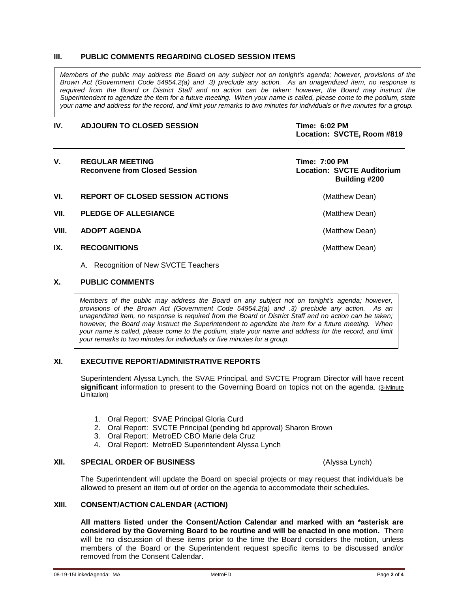#### **III. PUBLIC COMMENTS REGARDING CLOSED SESSION ITEMS**

*Members of the public may address the Board on any subject not on tonight's agenda; however, provisions of the Brown Act (Government Code 54954.2(a) and .3) preclude any action. As an unagendized item, no response is required from the Board or District Staff and no action can be taken; however, the Board may instruct the Superintendent to agendize the item for a future meeting. When your name is called, please come to the podium, state your name and address for the record, and limit your remarks to two minutes for individuals or five minutes for a group.*

#### **IV. ADJOURN TO CLOSED SESSION Time: 6:02 PM**

**Location: SVCTE, Room #819**

#### V. REGULAR MEETING<br>Reconvene from Closed Session<br>Reconvene from Closed Session<br>**Reconvene from Closed Session Reconvene from Closed Session**

- **VI. REPORT OF CLOSED SESSION ACTIONS** (Matthew Dean)
- **VII. PLEDGE OF ALLEGIANCE** (Matthew Dean)
- **VIII. ADOPT AGENDA** (Matthew Dean)
- **IX. RECOGNITIONS** (Matthew Dean)
	- A. Recognition of New SVCTE Teachers

#### **X. PUBLIC COMMENTS**

*Members of the public may address the Board on any subject not on tonight's agenda; however, provisions of the Brown Act (Government Code 54954.2(a) and .3) preclude any action. As an unagendized item, no response is required from the Board or District Staff and no action can be taken; however, the Board may instruct the Superintendent to agendize the item for a future meeting. When your name is called, please come to the podium, state your name and address for the record, and limit your remarks to two minutes for individuals or five minutes for a group.*

#### **XI. EXECUTIVE REPORT/ADMINISTRATIVE REPORTS**

Superintendent Alyssa Lynch, the SVAE Principal, and SVCTE Program Director will have recent **significant** information to present to the Governing Board on topics not on the agenda. (3-Minute Limitation)

- 1. Oral Report: SVAE Principal Gloria Curd
- 2. Oral Report: SVCTE Principal (pending bd approval) Sharon Brown
- 3. Oral Report: MetroED CBO Marie dela Cruz
- 4. Oral Report: MetroED Superintendent Alyssa Lynch

#### **XII. SPECIAL ORDER OF BUSINESS** (Alyssa Lynch)

The Superintendent will update the Board on special projects or may request that individuals be allowed to present an item out of order on the agenda to accommodate their schedules.

#### **XIII. CONSENT/ACTION CALENDAR (ACTION)**

**All matters listed under the Consent/Action Calendar and marked with an \*asterisk are considered by the Governing Board to be routine and will be enacted in one motion.** There will be no discussion of these items prior to the time the Board considers the motion, unless members of the Board or the Superintendent request specific items to be discussed and/or removed from the Consent Calendar.

 **Building #200**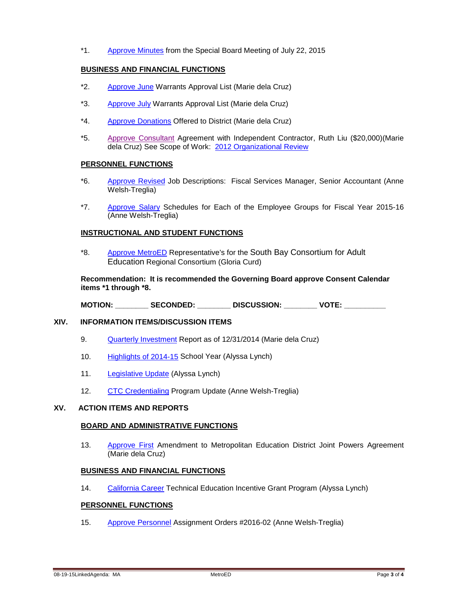\*1. [Approve](http://fbsd.metroed.net/malaimo/Board_Agenda/08-19-15BoardAgenda/07-22-15BoardMinutes.pdf) Minutes from the Special Board Meeting of July 22, 2015

#### **BUSINESS AND FINANCIAL FUNCTIONS**

- \*2. [Approve](http://fbsd.metroed.net/malaimo/Board_Agenda/08-19-15BoardAgenda/Item2.pdf) June Warrants Approval List (Marie dela Cruz)
- \*3. [Approve July](http://fbsd.metroed.net/malaimo/Board_Agenda/08-19-15BoardAgenda/Item3.pdf) Warrants Approval List (Marie dela Cruz)
- \*4. [Approve Donations](http://fbsd.metroed.net/malaimo/Board_Agenda/08-19-15BoardAgenda/Item4.pdf) Offered to District (Marie dela Cruz)
- \*5. [Approve Consultant](http://fbsd.metroed.net/malaimo/Board_Agenda/08-19-15BoardAgenda/Item5.pdf) Agreement with Independent Contractor, Ruth Liu (\$20,000)(Marie dela Cruz) See Scope of Work: [2012 Organizational Review](http://fbsd.metroed.net/malaimo/Board_Agenda/08-19-15BoardAgenda/SSC%20Organizational%20Review-Final%20(10-26-12).pdf)

#### **PERSONNEL FUNCTIONS**

- \*6. [Approve Revised](http://fbsd.metroed.net/malaimo/Board_Agenda/08-19-15BoardAgenda/Item6.pdf) Job Descriptions: Fiscal Services Manager, Senior Accountant (Anne Welsh-Treglia)
- \*7. [Approve Salary](http://fbsd.metroed.net/malaimo/Board_Agenda/08-19-15BoardAgenda/Item7.pdf) Schedules for Each of the Employee Groups for Fiscal Year 2015-16 (Anne Welsh-Treglia)

#### **INSTRUCTIONAL AND STUDENT FUNCTIONS**

\*8. [Approve MetroED](http://fbsd.metroed.net/malaimo/Board_Agenda/08-19-15BoardAgenda/Item8.pdf) Representative's for the South Bay Consortium for Adult Education Regional Consortium (Gloria Curd)

**Recommendation: It is recommended the Governing Board approve Consent Calendar items \*1 through \*8.**

**MOTION: \_\_\_\_\_\_\_\_ SECONDED: \_\_\_\_\_\_\_\_ DISCUSSION: \_\_\_\_\_\_\_\_ VOTE: \_\_\_\_\_\_\_\_\_\_**

#### **XIV. INFORMATION ITEMS/DISCUSSION ITEMS**

- 9. [Quarterly Investment](http://fbsd.metroed.net/malaimo/Board_Agenda/08-19-15BoardAgenda/Item9.pdf) Report as of 12/31/2014 (Marie dela Cruz)
- 10. [Highlights of 2014-15](http://fbsd.metroed.net/malaimo/Board_Agenda/08-19-15BoardAgenda/Item10.pdf) School Year (Alyssa Lynch)
- 11. [Legislative Update](http://fbsd.metroed.net/malaimo/Board_Agenda/08-19-15BoardAgenda/Item11.pdf) (Alyssa Lynch)
- 12. [CTC Credentialing](http://fbsd.metroed.net/malaimo/Board_Agenda/08-19-15BoardAgenda/Item12.pdf) Program Update (Anne Welsh-Treglia)

#### **XV. ACTION ITEMS AND REPORTS**

#### **BOARD AND ADMINISTRATIVE FUNCTIONS**

13. [Approve First](http://fbsd.metroed.net/malaimo/Board_Agenda/08-19-15BoardAgenda/Item13.pdf) Amendment to Metropolitan Education District Joint Powers Agreement (Marie dela Cruz)

#### **BUSINESS AND FINANCIAL FUNCTIONS**

14. [California Career](http://fbsd.metroed.net/malaimo/Board_Agenda/08-19-15BoardAgenda/Item14.pdf) Technical Education Incentive Grant Program (Alyssa Lynch)

#### **PERSONNEL FUNCTIONS**

15. [Approve Personnel](http://fbsd.metroed.net/malaimo/Board_Agenda/08-19-15BoardAgenda/Item15.pdf) Assignment Orders #2016-02 (Anne Welsh-Treglia)